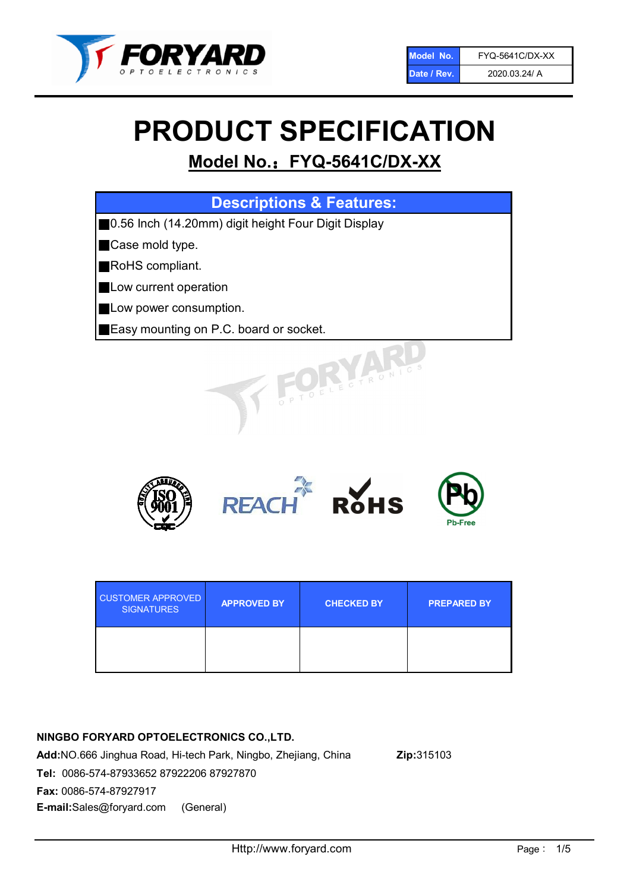

# PRODUCT SPECIFICATION

# Model No.: FYQ-5641C/DX-XX

| <b>Descriptions &amp; Features:</b>                  |
|------------------------------------------------------|
| ■0.56 Inch (14.20mm) digit height Four Digit Display |
| <b>Case mold type.</b>                               |
| RoHS compliant.                                      |
| <b>Low current operation</b>                         |
| <b>Low power consumption.</b>                        |
| Easy mounting on P.C. board or socket.               |
| OELECTRONIC                                          |



| <b>CUSTOMER APPROVED</b><br><b>SIGNATURES</b> | <b>APPROVED BY</b> | <b>CHECKED BY</b> | <b>PREPARED BY</b> |
|-----------------------------------------------|--------------------|-------------------|--------------------|
|                                               |                    |                   |                    |

# NINGBO FORYARD OPTOELECTRONICS CO.,LTD.

Add:NO.666 Jinghua Road, Hi-tech Park, Ningbo, Zhejiang, China Zip:315103 Tel: 0086-574-87933652 87922206 87927870 Fax: 0086-574-87927917 E-mail:Sales@foryard.com (General)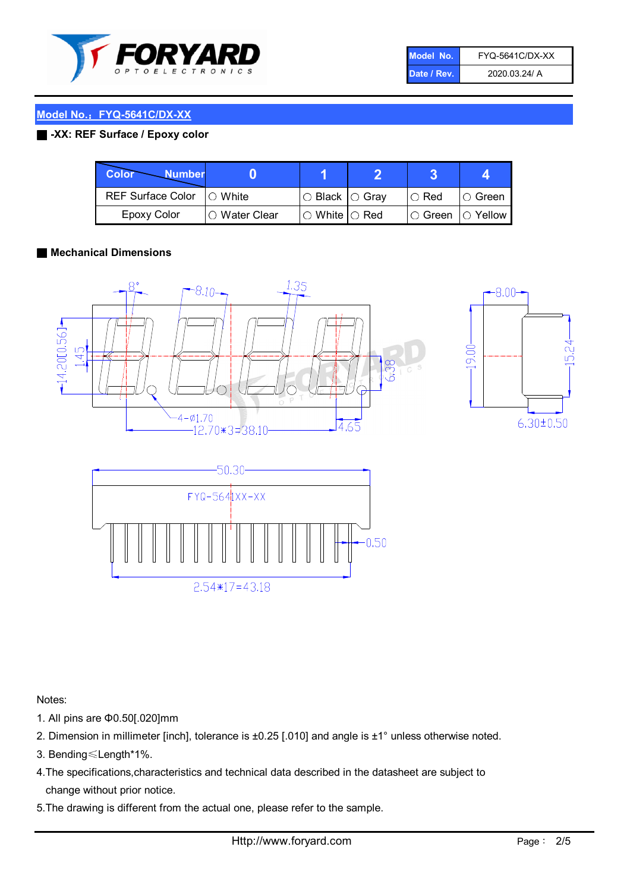

| Model No.   | <b>FYQ-5641C/DX-XX</b> |
|-------------|------------------------|
| Date / Rev. | 2020.03.24/ A          |

#### Model No.: FYQ-5641C/DX-XX

#### ■ -XX: REF Surface / Epoxy color

| Color<br><b>Number</b>      |                |                                                   |             |                |
|-----------------------------|----------------|---------------------------------------------------|-------------|----------------|
| REF Surface Color   O White |                | ○ Black  ○ Gray                                   | $\circ$ Red | $\circ$ Green  |
| Epoxy Color                 | I⊖ Water Clear | $\mathbin{\varcap}$ White $\mathbin{\varcap}$ Red | IO Green∶   | $\circ$ Yellow |

#### ■ Mechanical Dimensions







Notes: 1. All pins are Φ0.50[.020]mm

- 2. Dimension in millimeter [inch], tolerance is ±0.25 [.010] and angle is ±1° unless otherwise noted.
- 3. Bending≤Length\*1%.
- 4.The specifications,characteristics and technical data described in the datasheet are subject to change without prior notice.
- 5.The drawing is different from the actual one, please refer to the sample.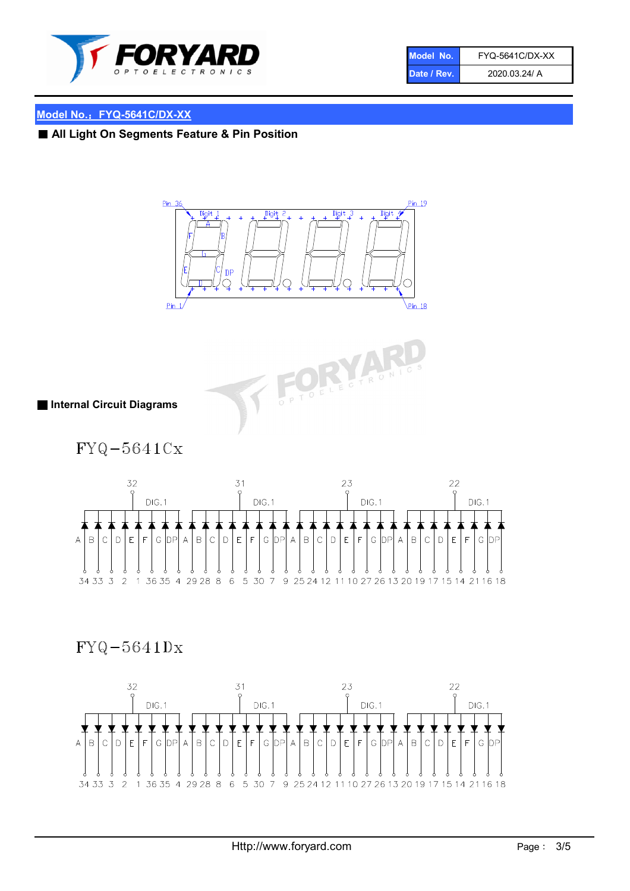

| Model No.   | <b>FYQ-5641C/DX-XX</b> |
|-------------|------------------------|
| Date / Rev. | 2020.03.24/ A          |

## Model No.: FYQ-5641C/DX-XX

■ All Light On Segments Feature & Pin Position





■ Internal Circuit Diagrams

 $FYQ-5641Cx$ 



# $FYQ-5641Dx$

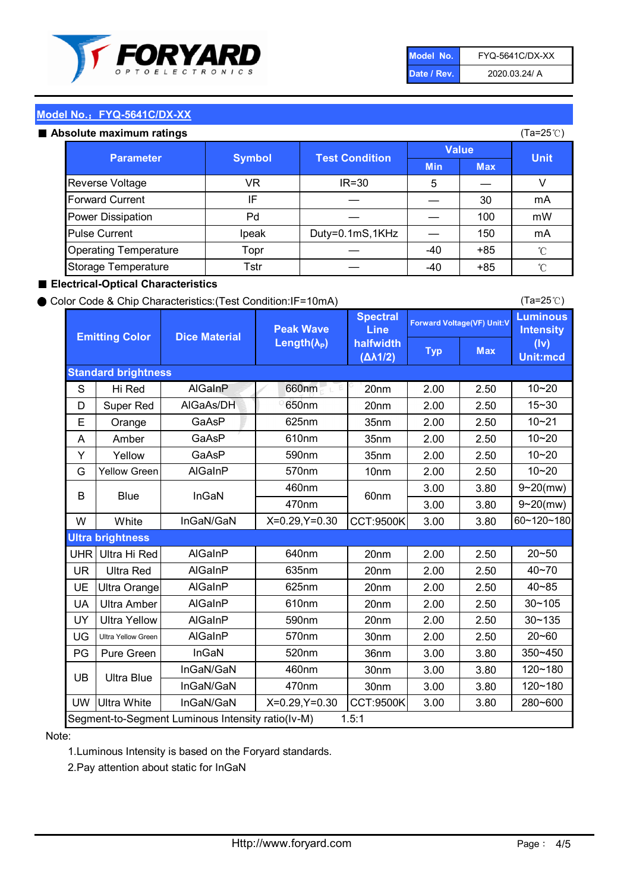

| Model No.   | <b>FYQ-5641C/DX-XX</b> |
|-------------|------------------------|
| Date / Rev. | 2020.03.24/ A          |

(Ta=25℃)

#### Model No.: FYQ-5641C/DX-XX

#### Absolute maximum

| solute maximum ratings       |               |                       |              |            | (Ta=25℃)    |
|------------------------------|---------------|-----------------------|--------------|------------|-------------|
| <b>Parameter</b>             | <b>Symbol</b> | <b>Test Condition</b> | <b>Value</b> |            |             |
|                              |               |                       | <b>Min</b>   | <b>Max</b> | <b>Unit</b> |
| Reverse Voltage              | VR            | $IR = 30$             | 5            |            |             |
| <b>Forward Current</b>       | IF            |                       |              | 30         | mA          |
| Power Dissipation            | Pd            |                       |              | 100        | mW          |
| <b>Pulse Current</b>         | Ipeak         | Duty=0.1mS,1KHz       |              | 150        | mA          |
| <b>Operating Temperature</b> | Topr          |                       | $-40$        | $+85$      | °C          |
| Storage Temperature          | Tstr          |                       | -40          | $+85$      | °C          |

#### ■ Electrical-Optical Characteristics

#### ● Color Code & Chip Characteristics:(Test Condition:IF=10mA)

Typ Max S | Hi $\textsf{Red}$  | AlGaInP | 660nm LE 20nm | 2.00 | 2.50 D | Super Red | AIGaAs/DH | 650nm | 20nm | 2.00 | 2.50 E | Orange | GaAsP | 625nm | 35nm | 2.00 | 2.50 A | Amber | GaAsP | 610nm | 35nm | 2.00 | 2.50 Y | Yellow | GaAsP | 590nm | 35nm | 2.00 | 2.50 G Yellow Green AIGaInP | 570nm | 10nm | 2.00 | 2.50 3.00 3.80 3.00 3.80 W | White | InGaN/GaN | X=0.29,Y=0.30 |CCT:9500K| 3.00 | 3.80 UHR Ultra Hi Red | AlGaInP | 640nm | 20nm | 2.00 | 2.50 UR | Ultra Red | AlGaInP | 635nm | 20nm | 2.00 | 2.50 UE Ultra Orange | AIGaInP | 625nm | 20nm | 2.00 | 2.50 UA Ultra Amber | AIGaInP | 610nm | 20nm | 2.00 | 2.50  $UV$  Ultra Yellow  $\vert$  AlGaInP  $\vert$  590nm  $\vert$  20nm  $\vert$  2.00  $\vert$  2.50  $\text{UG}$  Ultra Yellow Green | AIGaInP | 570nm | 30nm | 2.00 | 2.50 PG Pure Green | InGaN | 520nm | 36nm | 3.00 | 3.80 30nm 3.00 3.80 30nm 3.00 3.80 UW |Ultra White | InGaN/GaN | X=0.29,Y=0.30 |CCT:9500K| 3.00 | 3.80 40~85 60~120~180 40~70 Segment-to-Segment Luminous Intensity ratio(Iv-M) 1.5:1 610nm 9~20(mw) 350~450 470nm 120~180 120~180 Ultra Blue InGaN/GaN InGaN/GaN 9~20(mw) 20~50 280~600 570nm | 30nm | 2.00 | 2.50 | 20~60 470nm 590nm InGaN/GaN B Blue I InGaN 570nm | 10nm | 2.00 | 2.50 | 10~20 30~105 30~135 460nm 520nm Ultra brightness **AlGaInP** AlGaInP 60nm AlGaInP 640nm Peak Wave Length $(\lambda_{\rm P})$ UB 460nm 635nm AlGaInP AlGaInP AlGaInP InGaN/GaN AlGaInP 10~20 Luminous **Intensity** (Iv) Unit:mcd AlGainP 660nm GaAsP GaAsP AlGaAs/DH **Spectral** Line halfwidth (∆λ1/2) 10~20 Standard brightness Forward Voltage(VF) Unit:V 15~30 10~20 625nm GaAsP 590nm **Emitting Color Dice Material** 10~21 610nm

#### Note:

1.Luminous Intensity is based on the Foryard standards.

2.Pay attention about static for InGaN